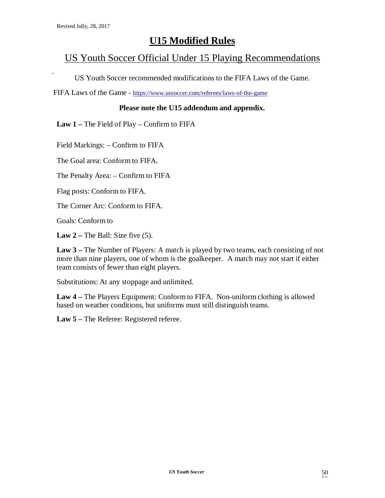## **U15 Modified Rules**

## US Youth Soccer Official Under 15 Playing Recommendations

US Youth Soccer recommended modifications to the FIFA Laws of the Game.

FIFA Laws of the Game - https://www.ussoccer.com/referees/laws-of-the-game

#### **Please note the U15 addendum and appendix.**

**Law 1 –** The Field of Play – Confirm to FIFA

Field Markings: – Confirm to FIFA

The Goal area: Conform to FIFA.

The Penalty Area: – Confirm to FIFA

Flag posts: Conform to FIFA.

The Corner Arc: Conform to FIFA.

Goals: Conform to

**Law**  $2$  – The Ball: Size five (5).

**Law 3 –** The Number of Players: A match is played by two teams, each consisting of not more than nine players, one of whom is the goalkeeper. A match may not start if either team consists of fewer than eight players.

Substitutions: At any stoppage and unlimited.

**Law 4 –** The Players Equipment: Conform to FIFA. Non-uniform clothing is allowed based on weather conditions, but uniforms must still distinguish teams.

**Law 5 –** The Referee: Registered referee.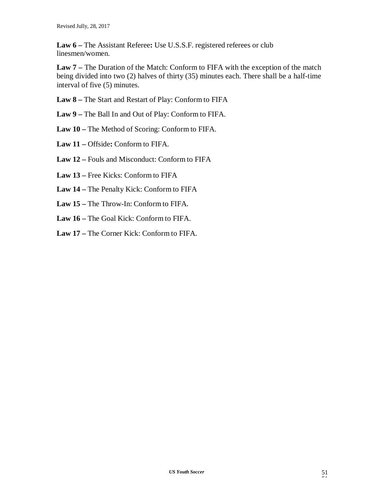**Law 6 –** The Assistant Referee**:** Use U.S.S.F. registered referees or club linesmen/women.

**Law 7 –** The Duration of the Match: Conform to FIFA with the exception of the match being divided into two (2) halves of thirty (35) minutes each. There shall be a half-time interval of five (5) minutes.

- **Law 8 –** The Start and Restart of Play: Conform to FIFA
- **Law 9 –** The Ball In and Out of Play: Conform to FIFA.
- **Law 10 –** The Method of Scoring: Conform to FIFA.
- **Law 11 –** Offside**:** Conform to FIFA.
- **Law 12 –** Fouls and Misconduct: Conform to FIFA
- **Law 13 –** Free Kicks: Conform to FIFA
- **Law 14 –** The Penalty Kick: Conform to FIFA
- **Law 15 –** The Throw-In: Conform to FIFA.
- **Law 16 –** The Goal Kick: Conform to FIFA.
- **Law 17 –** The Corner Kick: Conform to FIFA.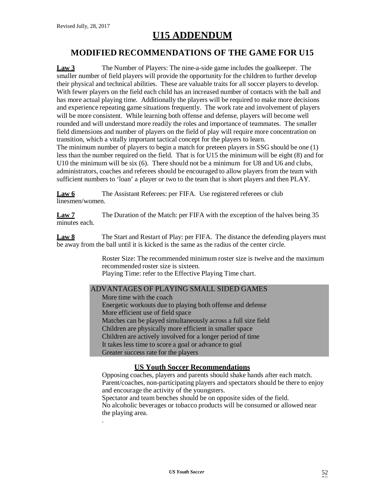# **U15 ADDENDUM**

### **MODIFIED RECOMMENDATIONS OF THE GAME FOR U15**

**Law 3** The Number of Players: The nine-a-side game includes the goalkeeper. The smaller number of field players will provide the opportunity for the children to further develop their physical and technical abilities. These are valuable traits for all soccer players to develop. With fewer players on the field each child has an increased number of contacts with the ball and has more actual playing time. Additionally the players will be required to make more decisions and experience repeating game situations frequently. The work rate and involvement of players will be more consistent. While learning both offense and defense, players will become well rounded and will understand more readily the roles and importance of teammates. The smaller field dimensions and number of players on the field of play will require more concentration on transition, which a vitally important tactical concept for the players to learn. The minimum number of players to begin a match for preteen players in SSG should be one (1) less than the number required on the field. That is for U15 the minimum will be eight (8) and for U10 the minimum will be six (6). There should not be a minimum for U8 and U6 and clubs, administrators, coaches and referees should be encouraged to allow players from the team with sufficient numbers to 'loan' a player or two to the team that is short players and then PLAY.

**Law 6** The Assistant Referees: per FIFA. Use registered referees or club linesmen/women.

**Law 7** The Duration of the Match: per FIFA with the exception of the halves being 35 minutes each.

**Law 8** The Start and Restart of Play: per FIFA. The distance the defending players must be away from the ball until it is kicked is the same as the radius of the center circle.

> Roster Size: The recommended minimum roster size is twelve and the maximum recommended roster size is sixteen. Playing Time: refer to the Effective Playing Time chart.

#### ADVANTAGES OF PLAYING SMALL SIDED GAMES

More time with the coach Energetic workouts due to playing both offense and defense More efficient use of field space Matches can be played simultaneously across a full size field Children are physically more efficient in smaller space Children are actively involved for a longer period of time It takes less time to score a goal or advance to goal Greater success rate for the players

#### **US Youth Soccer Recommendations**

Opposing coaches, players and parents should shake hands after each match. Parent/coaches, non-participating players and spectators should be there to enjoy and encourage the activity of the youngsters.

Spectator and team benches should be on opposite sides of the field. No alcoholic beverages or tobacco products will be consumed or allowed near the playing area.

.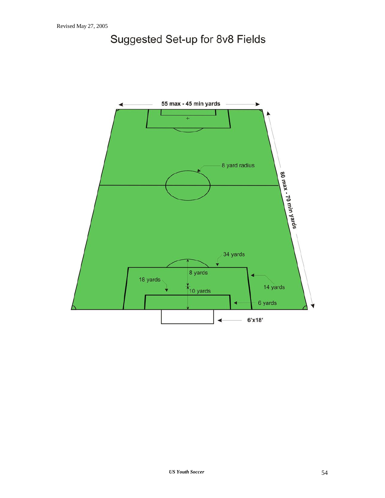# Suggested Set-up for 8v8 Fields